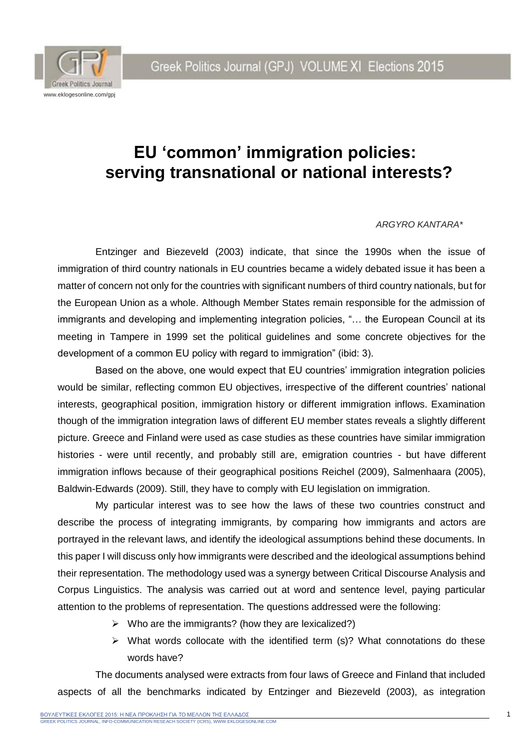

## **EU 'common' immigration policies: serving transnational or national interests?**

#### *ARGYRO KANTARA\**

Entzinger and Biezeveld (2003) indicate, that since the 1990s when the issue of immigration of third country nationals in EU countries became a widely debated issue it has been a matter of concern not only for the countries with significant numbers of third country nationals, but for the European Union as a whole. Although Member States remain responsible for the admission of immigrants and developing and implementing integration policies, "... the European Council at its meeting in Tampere in 1999 set the political guidelines and some concrete objectives for the development of a common EU policy with regard to immigration" (ibid: 3).

Based on the above, one would expect that EU countries' immigration integration policies would be similar, reflecting common EU objectives, irrespective of the different countries' national interests, geographical position, immigration history or different immigration inflows. Examination though of the immigration integration laws of different EU member states reveals a slightly different picture. Greece and Finland were used as case studies as these countries have similar immigration histories - were until recently, and probably still are, emigration countries - but have different immigration inflows because of their geographical positions Reichel (2009), Salmenhaara (2005), Baldwin-Edwards (2009). Still, they have to comply with EU legislation on immigration.

My particular interest was to see how the laws of these two countries construct and describe the process of integrating immigrants, by comparing how immigrants and actors are portrayed in the relevant laws, and identify the ideological assumptions behind these documents. In this paper I will discuss only how immigrants were described and the ideological assumptions behind their representation. The methodology used was a synergy between Critical Discourse Analysis and Corpus Linguistics. The analysis was carried out at word and sentence level, paying particular attention to the problems of representation. The questions addressed were the following:

- $\triangleright$  Who are the immigrants? (how they are lexicalized?)
- $\triangleright$  What words collocate with the identified term (s)? What connotations do these words have?

The documents analysed were extracts from four laws of Greece and Finland that included aspects of all the benchmarks indicated by Entzinger and Biezeveld (2003), as integration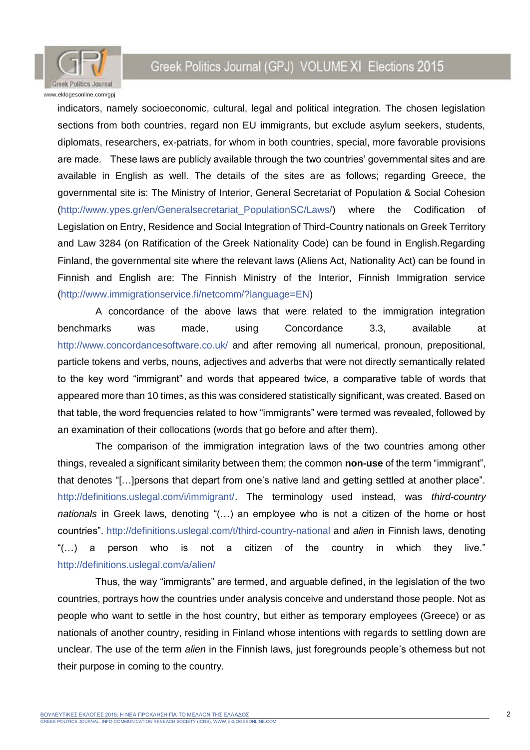

indicators, namely socioeconomic, cultural, legal and political integration. The chosen legislation sections from both countries, regard non EU immigrants, but exclude asylum seekers, students, diplomats, researchers, ex-patriats, for whom in both countries, special, more favorable provisions are made. These laws are publicly available through the two countries' governmental sites and are available in English as well. The details of the sites are as follows; regarding Greece, the governmental site is: The Ministry of Interior, General Secretariat of Population & Social Cohesion [\(http://www.ypes.gr/en/Generalsecretariat\\_PopulationSC/Laws/\)](http://www.ypes.gr/en/Generalsecretariat_PopulationSC/Laws/) where the Codification of Legislation on Entry, Residence and Social Integration of Third-Country nationals on Greek Territory and Law 3284 (on Ratification of the Greek Nationality Code) can be found in English.Regarding Finland, the governmental site where the relevant laws (Aliens Act, Nationality Act) can be found in Finnish and English are: The Finnish Ministry of the Interior, Finnish Immigration service [\(http://www.immigrationservice.fi/netcomm/?language=EN\)](http://www.immigrationservice.fi/netcomm/?language=EN)

A concordance of the above laws that were related to the immigration integration benchmarks was made, using Concordance 3.3, available at <http://www.concordancesoftware.co.uk/> and after removing all numerical, pronoun, prepositional, particle tokens and verbs, nouns, adjectives and adverbs that were not directly semantically related to the key word "immigrant" and words that appeared twice, a comparative table of words that appeared more than 10 times, as this was considered statistically significant, was created. Based on that table, the word frequencies related to how "immigrants" were termed was revealed, followed by an examination of their collocations (words that go before and after them).

The comparison of the immigration integration laws of the two countries among other things, revealed a significant similarity between them; the common **non-use** of the term "immigrant", that denotes "[…]persons that depart from one's native land and getting settled at another place". [http://definitions.uslegal.com/i/immigrant/.](http://definitions.uslegal.com/i/immigrant/) The terminology used instead, was *third-country nationals* in Greek laws, denoting "(...) an employee who is not a citizen of the home or host countries".<http://definitions.uslegal.com/t/third-country-national> and *alien* in Finnish laws, denoting "(…) a person who is not a citizen of the country in which they live." <http://definitions.uslegal.com/a/alien/>

Thus, the way "immigrants" are termed, and arguable defined, in the legislation of the two countries, portrays how the countries under analysis conceive and understand those people. Not as people who want to settle in the host country, but either as temporary employees (Greece) or as nationals of another country, residing in Finland whose intentions with regards to settling down are unclear. The use of the term *alien* in the Finnish laws, just foregrounds people's otherness but not their purpose in coming to the country.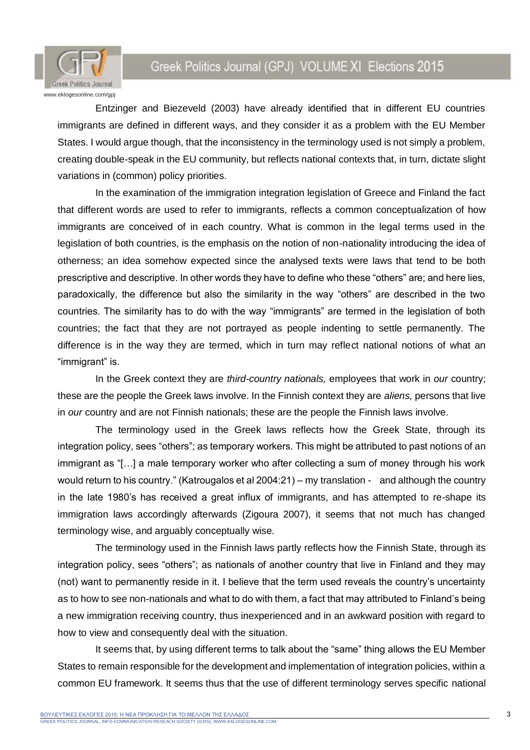

Entzinger and Biezeveld (2003) have already identified that in different EU countries immigrants are defined in different ways, and they consider it as a problem with the EU Member States. I would argue though, that the inconsistency in the terminology used is not simply a problem, creating double-speak in the EU community, but reflects national contexts that, in turn, dictate slight variations in (common) policy priorities.

In the examination of the immigration integration legislation of Greece and Finland the fact that different words are used to refer to immigrants, reflects a common conceptualization of how immigrants are conceived of in each country. What is common in the legal terms used in the legislation of both countries, is the emphasis on the notion of non-nationality introducing the idea of otherness; an idea somehow expected since the analysed texts were laws that tend to be both prescriptive and descriptive. In other words they have to define who these "others" are; and here lies, paradoxically, the difference but also the similarity in the way "others" are described in the two countries. The similarity has to do with the way "immigrants" are termed in the legislation of both countries; the fact that they are not portrayed as people indenting to settle permanently. The difference is in the way they are termed, which in turn may reflect national notions of what an "immigrant" is.

In the Greek context they are *third-country nationals,* employees that work in *our* country; these are the people the Greek laws involve. In the Finnish context they are *aliens,* persons that live in *our* country and are not Finnish nationals; these are the people the Finnish laws involve.

The terminology used in the Greek laws reflects how the Greek State, through its integration policy, sees "others"; as temporary workers. This might be attributed to past notions of an immigrant as "[…] a male temporary worker who after collecting a sum of money through his work would return to his country." (Katrougalos et al 2004:21) – my translation - and although the country in the late 1980's has received a great influx of immigrants, and has attempted to re-shape its immigration laws accordingly afterwards (Zigoura 2007), it seems that not much has changed terminology wise, and arguably conceptually wise.

The terminology used in the Finnish laws partly reflects how the Finnish State, through its integration policy, sees "others"; as nationals of another country that live in Finland and they may (not) want to permanently reside in it. I believe that the term used reveals the country's uncertainty as to how to see non-nationals and what to do with them, a fact that may attributed to Finland's being a new immigration receiving country, thus inexperienced and in an awkward position with regard to how to view and consequently deal with the situation.

It seems that, by using different terms to talk about the "same" thing allows the EU Member States to remain responsible for the development and implementation of integration policies, within a common EU framework. It seems thus that the use of different terminology serves specific national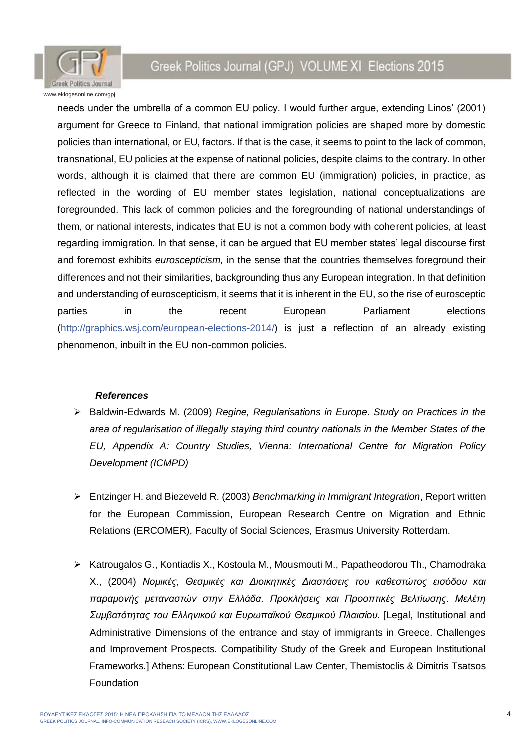

needs under the umbrella of a common EU policy. I would further argue, extending Linos' (2001) argument for Greece to Finland, that national immigration policies are shaped more by domestic policies than international, or EU, factors. If that is the case, it seems to point to the lack of common, transnational, EU policies at the expense of national policies, despite claims to the contrary. In other words, although it is claimed that there are common EU (immigration) policies, in practice, as reflected in the wording of EU member states legislation, national conceptualizations are foregrounded. This lack of common policies and the foregrounding of national understandings of them, or national interests, indicates that EU is not a common body with coherent policies, at least regarding immigration. In that sense, it can be argued that EU member states' legal discourse first and foremost exhibits *euroscepticism,* in the sense that the countries themselves foreground their differences and not their similarities, backgrounding thus any European integration. In that definition and understanding of euroscepticism, it seems that it is inherent in the EU, so the rise of eurosceptic parties in the recent European Parliament elections [\(http://graphics.wsj.com/european-elections-2014/\)](http://graphics.wsj.com/european-elections-2014/) is just a reflection of an already existing phenomenon, inbuilt in the EU non-common policies.

#### *References*

- Baldwin-Edwards M. (2009) *Regine, Regularisations in Europe. Study on Practices in the area of regularisation of illegally staying third country nationals in the Member States of the EU, Appendix A: Country Studies, Vienna: International Centre for Migration Policy Development (ICMPD)*
- Entzinger H. and Biezeveld R. (2003) *Benchmarking in Immigrant Integration*, Report written for the European Commission, European Research Centre on Migration and Ethnic Relations (ERCOMER), Faculty of Social Sciences, Erasmus University Rotterdam.
- $\triangleright$  Katrougalos G., Kontiadis X., Kostoula M., Mousmouti M., Papatheodorou Th., Chamodraka X., (2004) *Νομικές, Θεσμικές και Διοικητικές Διαστάσεις του καθεστώτος εισόδου και παραμονής μεταναστών στην Ελλάδα. Προκλήσεις και Προοπτικές Βελτίωσης. Μελέτη Συμβατότητας του Ελληνικού και Ευρωπαϊκού Θεσμικού Πλαισίου*. [Legal, Institutional and Administrative Dimensions of the entrance and stay of immigrants in Greece. Challenges and Improvement Prospects. Compatibility Study of the Greek and European Institutional Frameworks*.*] Athens: European Constitutional Law Center, Themistoclis & Dimitris Tsatsos **Foundation**